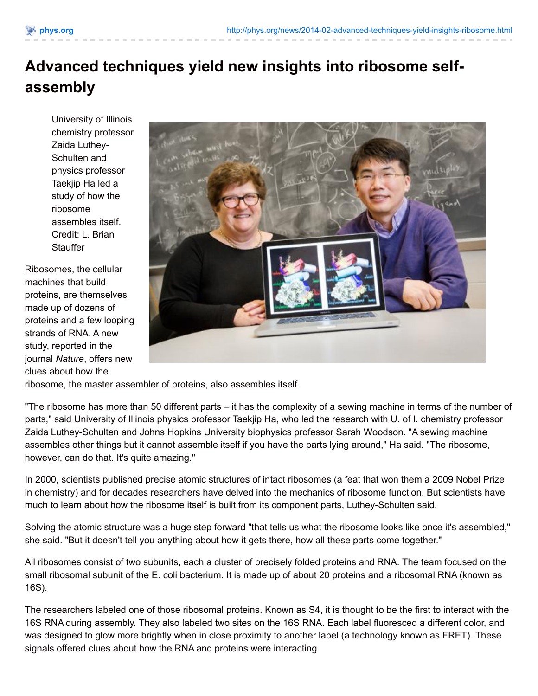## **Advanced techniques yield new insights into ribosome selfassembly**

University of Illinois chemistry professor Zaida Luthey-Schulten and physics professor Taekjip Ha led a study of how the ribosome assembles itself. Credit: L. Brian **Stauffer** 

Ribosomes, the cellular machines that build proteins, are themselves made up of dozens of proteins and a few looping strands of RNA. A new study, reported in the journal *Nature*, offers new clues about how the



ribosome, the master assembler of proteins, also assembles itself.

"The ribosome has more than 50 different parts – it has the complexity of a sewing machine in terms of the number of parts," said University of Illinois physics professor Taekjip Ha, who led the research with U. of I. chemistry professor Zaida Luthey-Schulten and Johns Hopkins University biophysics professor Sarah Woodson. "A sewing machine assembles other things but it cannot assemble itself if you have the parts lying around," Ha said. "The ribosome, however, can do that. It's quite amazing."

In 2000, scientists published precise atomic structures of intact ribosomes (a feat that won them a 2009 Nobel Prize in chemistry) and for decades researchers have delved into the mechanics of ribosome function. But scientists have much to learn about how the ribosome itself is built from its component parts, Luthey-Schulten said.

Solving the atomic structure was a huge step forward "that tells us what the ribosome looks like once it's assembled," she said. "But it doesn't tell you anything about how it gets there, how all these parts come together."

All ribosomes consist of two subunits, each a cluster of precisely folded proteins and RNA. The team focused on the small ribosomal subunit of the E. coli bacterium. It is made up of about 20 proteins and a ribosomal RNA (known as 16S).

The researchers labeled one of those ribosomal proteins. Known as S4, it is thought to be the first to interact with the 16S RNA during assembly. They also labeled two sites on the 16S RNA. Each label fluoresced a different color, and was designed to glow more brightly when in close proximity to another label (a technology known as FRET). These signals offered clues about how the RNA and proteins were interacting.